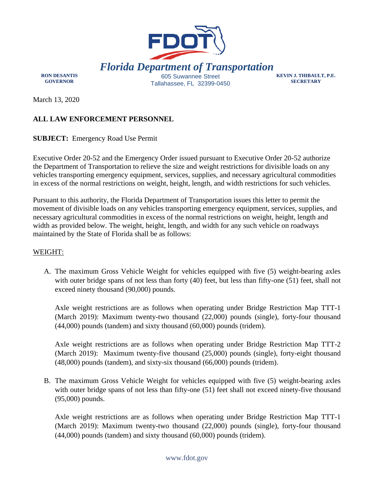

**RON DESANTIS GOVERNOR** 

**KEVIN J. THIBAULT, P.E. SECRETARY** 

March 13, 2020

# **ALL LAW ENFORCEMENT PERSONNEL**

**SUBJECT:** Emergency Road Use Permit

Executive Order 20-52 and the Emergency Order issued pursuant to Executive Order 20-52 authorize the Department of Transportation to relieve the size and weight restrictions for divisible loads on any vehicles transporting emergency equipment, services, supplies, and necessary agricultural commodities in excess of the normal restrictions on weight, height, length, and width restrictions for such vehicles.

Pursuant to this authority, the Florida Department of Transportation issues this letter to permit the movement of divisible loads on any vehicles transporting emergency equipment, services, supplies, and necessary agricultural commodities in excess of the normal restrictions on weight, height, length and width as provided below. The weight, height, length, and width for any such vehicle on roadways maintained by the State of Florida shall be as follows:

## WEIGHT:

A. The maximum Gross Vehicle Weight for vehicles equipped with five (5) weight-bearing axles with outer bridge spans of not less than forty (40) feet, but less than fifty-one (51) feet, shall not exceed ninety thousand (90,000) pounds.

Axle weight restrictions are as follows when operating under Bridge Restriction Map TTT-1 (March 2019): Maximum twenty-two thousand (22,000) pounds (single), forty-four thousand (44,000) pounds (tandem) and sixty thousand (60,000) pounds (tridem).

Axle weight restrictions are as follows when operating under Bridge Restriction Map TTT-2 (March 2019): Maximum twenty-five thousand (25,000) pounds (single), forty-eight thousand (48,000) pounds (tandem), and sixty-six thousand (66,000) pounds (tridem).

B. The maximum Gross Vehicle Weight for vehicles equipped with five (5) weight-bearing axles with outer bridge spans of not less than fifty-one (51) feet shall not exceed ninety-five thousand (95,000) pounds.

Axle weight restrictions are as follows when operating under Bridge Restriction Map TTT-1 (March 2019): Maximum twenty-two thousand (22,000) pounds (single), forty-four thousand (44,000) pounds (tandem) and sixty thousand (60,000) pounds (tridem).

#### www.fdot.gov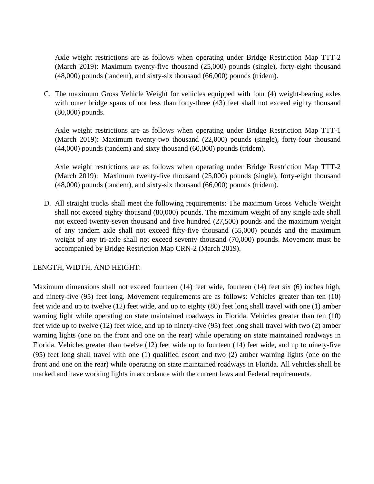Axle weight restrictions are as follows when operating under Bridge Restriction Map TTT-2 (March 2019): Maximum twenty-five thousand (25,000) pounds (single), forty-eight thousand (48,000) pounds (tandem), and sixty-six thousand (66,000) pounds (tridem).

C. The maximum Gross Vehicle Weight for vehicles equipped with four (4) weight-bearing axles with outer bridge spans of not less than forty-three (43) feet shall not exceed eighty thousand (80,000) pounds.

Axle weight restrictions are as follows when operating under Bridge Restriction Map TTT-1 (March 2019): Maximum twenty-two thousand (22,000) pounds (single), forty-four thousand (44,000) pounds (tandem) and sixty thousand (60,000) pounds (tridem).

Axle weight restrictions are as follows when operating under Bridge Restriction Map TTT-2 (March 2019): Maximum twenty-five thousand (25,000) pounds (single), forty-eight thousand (48,000) pounds (tandem), and sixty-six thousand (66,000) pounds (tridem).

D. All straight trucks shall meet the following requirements: The maximum Gross Vehicle Weight shall not exceed eighty thousand (80,000) pounds. The maximum weight of any single axle shall not exceed twenty-seven thousand and five hundred (27,500) pounds and the maximum weight of any tandem axle shall not exceed fifty-five thousand (55,000) pounds and the maximum weight of any tri-axle shall not exceed seventy thousand (70,000) pounds. Movement must be accompanied by Bridge Restriction Map CRN-2 (March 2019).

## LENGTH, WIDTH, AND HEIGHT:

Maximum dimensions shall not exceed fourteen (14) feet wide, fourteen (14) feet six (6) inches high, and ninety-five (95) feet long. Movement requirements are as follows: Vehicles greater than ten (10) feet wide and up to twelve (12) feet wide, and up to eighty (80) feet long shall travel with one (1) amber warning light while operating on state maintained roadways in Florida. Vehicles greater than ten (10) feet wide up to twelve (12) feet wide, and up to ninety-five (95) feet long shall travel with two (2) amber warning lights (one on the front and one on the rear) while operating on state maintained roadways in Florida. Vehicles greater than twelve (12) feet wide up to fourteen (14) feet wide, and up to ninety-five (95) feet long shall travel with one (1) qualified escort and two (2) amber warning lights (one on the front and one on the rear) while operating on state maintained roadways in Florida. All vehicles shall be marked and have working lights in accordance with the current laws and Federal requirements.